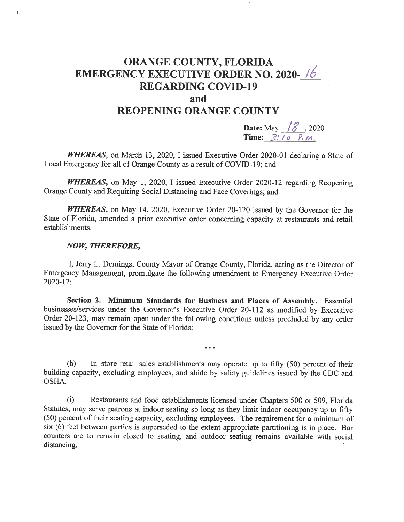## ORANGE COUNTY, FLORIDA EMERGENCY EXECUTIVE ORDER NO. 2020- REGARDING COVID-19 and

## REOPENING ORANGE COUNTY

**Date:** May  $\frac{1}{8}$  , 2020 Time:  $\frac{3!}{0}$   $\frac{p}{p}$ ,  $m$ ,

WHEREAS, on March 13, 2020, I issued Executive Order 2020-01 declaring a State of Local Emergency for all of Orange County as a result of COVID-19; and

WHEREAS, on May 1, 2020, I issued Executive Order 2020-12 regarding Reopening Orange County and Requiring Social Distancing and Face Coverings; and

WHEREAS, on May 14, 2020, Executive Order 20-120 issued by the Governor for the State of Florida, amended a prior executive order concerning capacity at restaurants and retail establishments.

## NOW, THEREFORE,

 $\mathbb I$ 

I, Jerry L. Demings, County Mayor of Orange County, Florida, acting as the Director of Emergency Management, promulgate the following amendment to Emergency Executive Order 2020-12:

Section 2. Minimum Standards for Business and Places of Assembly. Essential businesses/services under the Governor's Executive Order 20-112 as modified by Executive Order 20-123, may remain open under the following conditions unless precluded by any order issued by the Governor for the. State of Florida:

(h) In-store retail sales establishments may operate up to fifty (50) percent of their building capacity, excluding employees, and abide by safety guidelines issued by the CDC and OSHA.

 $\ddotsc$ 

(i) Restaurants and food establishments licensed under Chapters 500 or 509, Florida Statutes, may serve patrons at indoor seating so long as they limit indoor occupancy up to fifty (50) percent of their seating capacity, excluding employees. The requirement for a minimum of six (6) feet between parties is superseded to the extent appropriate partitioning is in place. Bar counters are to remain closed to seating, and outdoor seating remains available with social distancing.